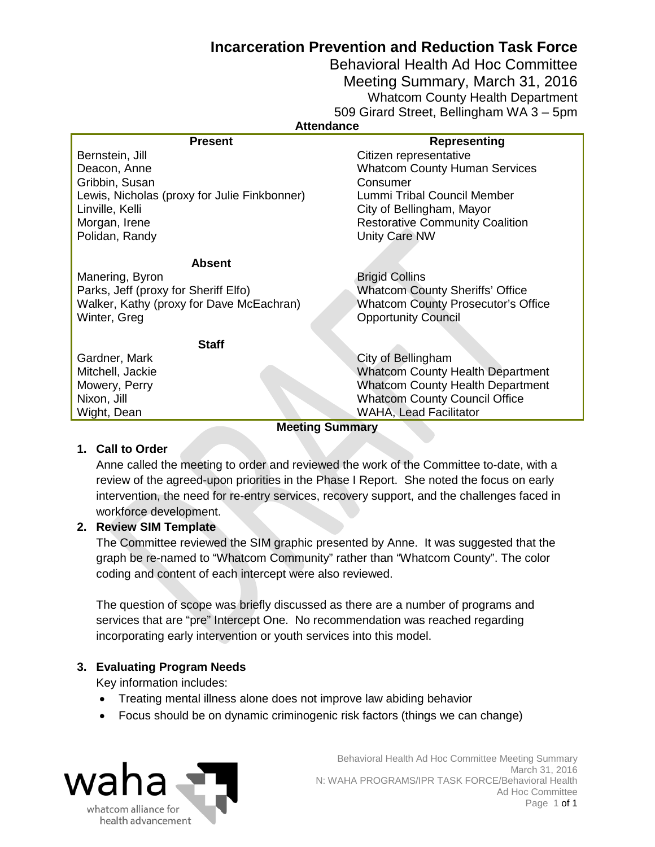# **Incarceration Prevention and Reduction Task Force**

Behavioral Health Ad Hoc Committee Meeting Summary, March 31, 2016 Whatcom County Health Department 509 Girard Street, Bellingham WA 3 – 5pm

#### **Attendance**

| <b>Present</b>                               | Representing                              |
|----------------------------------------------|-------------------------------------------|
| Bernstein, Jill                              | Citizen representative                    |
| Deacon, Anne                                 | <b>Whatcom County Human Services</b>      |
| Gribbin, Susan                               | Consumer                                  |
| Lewis, Nicholas (proxy for Julie Finkbonner) | Lummi Tribal Council Member               |
| Linville, Kelli                              | City of Bellingham, Mayor                 |
| Morgan, Irene                                | <b>Restorative Community Coalition</b>    |
| Polidan, Randy                               | Unity Care NW                             |
|                                              |                                           |
| <b>Absent</b>                                |                                           |
| Manering, Byron                              | <b>Brigid Collins</b>                     |
| Parks, Jeff (proxy for Sheriff Elfo)         | <b>Whatcom County Sheriffs' Office</b>    |
| Walker, Kathy (proxy for Dave McEachran)     | <b>Whatcom County Prosecutor's Office</b> |
| Winter, Greg                                 | <b>Opportunity Council</b>                |
|                                              |                                           |
| <b>Staff</b>                                 |                                           |
| Gardner, Mark                                | City of Bellingham                        |
| Mitchell, Jackie                             | <b>Whatcom County Health Department</b>   |
| Mowery, Perry                                | <b>Whatcom County Health Department</b>   |
| Nixon, Jill                                  | <b>Whatcom County Council Office</b>      |
| Wight, Dean                                  | <b>WAHA, Lead Facilitator</b>             |
| <b>Meeting Summary</b>                       |                                           |

### **1. Call to Order**

Anne called the meeting to order and reviewed the work of the Committee to-date, with a review of the agreed-upon priorities in the Phase I Report. She noted the focus on early intervention, the need for re-entry services, recovery support, and the challenges faced in workforce development.

### **2. Review SIM Template**

The Committee reviewed the SIM graphic presented by Anne. It was suggested that the graph be re-named to "Whatcom Community" rather than "Whatcom County". The color coding and content of each intercept were also reviewed.

The question of scope was briefly discussed as there are a number of programs and services that are "pre" Intercept One. No recommendation was reached regarding incorporating early intervention or youth services into this model.

### **3. Evaluating Program Needs**

Key information includes:

- Treating mental illness alone does not improve law abiding behavior
- Focus should be on dynamic criminogenic risk factors (things we can change)



 Behavioral Health Ad Hoc Committee Meeting Summary March 31, 2016 N: WAHA PROGRAMS/IPR TASK FORCE/Behavioral Health Ad Hoc Committee Page 1 of 1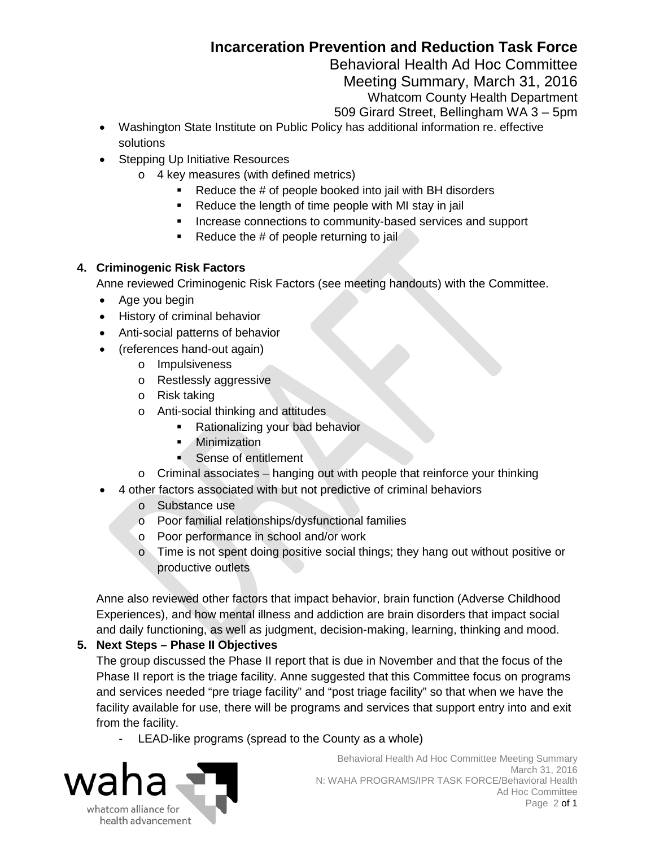# **Incarceration Prevention and Reduction Task Force**

Behavioral Health Ad Hoc Committee

Meeting Summary, March 31, 2016

Whatcom County Health Department

509 Girard Street, Bellingham WA 3 – 5pm

- Washington State Institute on Public Policy has additional information re. effective solutions
- Stepping Up Initiative Resources
	- o 4 key measures (with defined metrics)
		- Reduce the # of people booked into jail with BH disorders
		- **Reduce the length of time people with MI stay in jail**
		- **Increase connections to community-based services and support**
		- Reduce the  $#$  of people returning to jail

# **4. Criminogenic Risk Factors**

Anne reviewed Criminogenic Risk Factors (see meeting handouts) with the Committee.

- Age you begin
- History of criminal behavior
- Anti-social patterns of behavior
- (references hand-out again)
	- o Impulsiveness
	- o Restlessly aggressive
	- o Risk taking
	- o Anti-social thinking and attitudes
		- **Rationalizing your bad behavior**
		- **Minimization**
		- Sense of entitlement
	- o Criminal associates hanging out with people that reinforce your thinking
	- 4 other factors associated with but not predictive of criminal behaviors
		- o Substance use
		- o Poor familial relationships/dysfunctional families
		- o Poor performance in school and/or work
		- o Time is not spent doing positive social things; they hang out without positive or productive outlets

Anne also reviewed other factors that impact behavior, brain function (Adverse Childhood Experiences), and how mental illness and addiction are brain disorders that impact social and daily functioning, as well as judgment, decision-making, learning, thinking and mood.

# **5. Next Steps – Phase II Objectives**

The group discussed the Phase II report that is due in November and that the focus of the Phase II report is the triage facility. Anne suggested that this Committee focus on programs and services needed "pre triage facility" and "post triage facility" so that when we have the facility available for use, there will be programs and services that support entry into and exit from the facility.

LEAD-like programs (spread to the County as a whole)

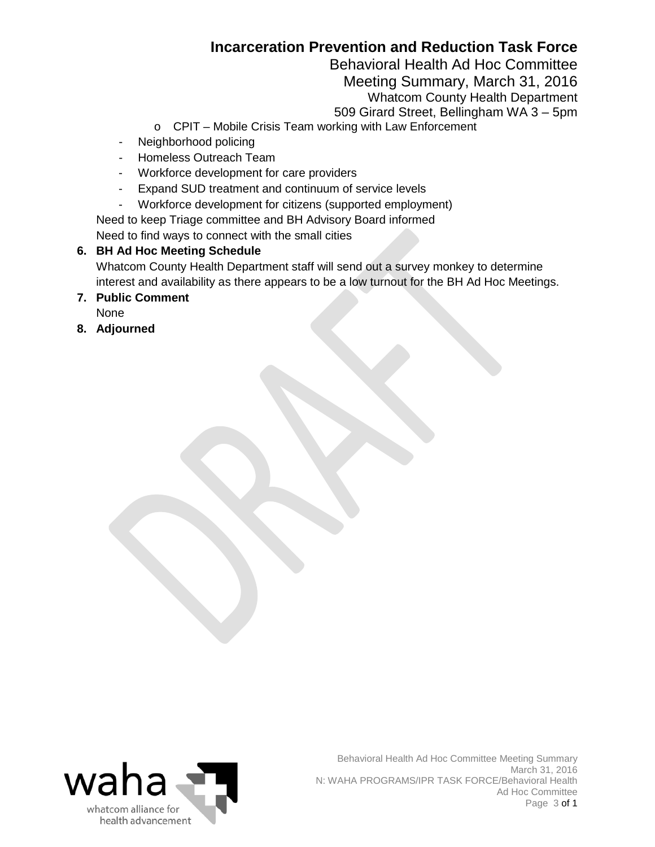# **Incarceration Prevention and Reduction Task Force**

Behavioral Health Ad Hoc Committee

Meeting Summary, March 31, 2016

Whatcom County Health Department

509 Girard Street, Bellingham WA 3 – 5pm

- o CPIT Mobile Crisis Team working with Law Enforcement
- Neighborhood policing
- Homeless Outreach Team
- Workforce development for care providers
- Expand SUD treatment and continuum of service levels
- Workforce development for citizens (supported employment)
- Need to keep Triage committee and BH Advisory Board informed

Need to find ways to connect with the small cities

# **6. BH Ad Hoc Meeting Schedule**

Whatcom County Health Department staff will send out a survey monkey to determine interest and availability as there appears to be a low turnout for the BH Ad Hoc Meetings.

- **7. Public Comment** None
- **8. Adjourned**